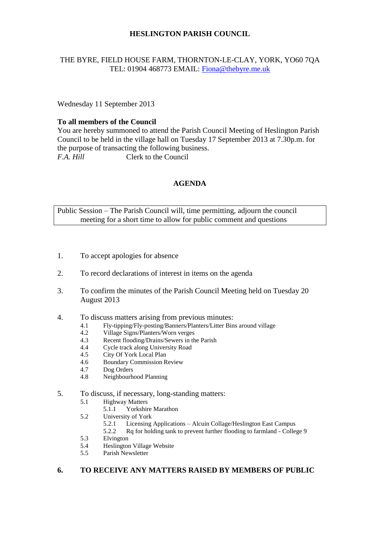# **HESLINGTON PARISH COUNCIL**

## THE BYRE, FIELD HOUSE FARM, THORNTON-LE-CLAY, YORK, YO60 7QA TEL: 01904 468773 EMAIL: [Fiona@thebyre.me.uk](mailto:Fiona@thebyre.me.uk)

Wednesday 11 September 2013

# **To all members of the Council**

You are hereby summoned to attend the Parish Council Meeting of Heslington Parish Council to be held in the village hall on Tuesday 17 September 2013 at 7.30p.m. for the purpose of transacting the following business. *F.A. Hill* Clerk to the Council

# **AGENDA**

Public Session – The Parish Council will, time permitting, adjourn the council meeting for a short time to allow for public comment and questions

- 1. To accept apologies for absence
- 2. To record declarations of interest in items on the agenda
- 3. To confirm the minutes of the Parish Council Meeting held on Tuesday 20 August 2013
- 4. To discuss matters arising from previous minutes:
	- 4.1 Fly-tipping/Fly-posting/Banners/Planters/Litter Bins around village<br>4.2 Village Signs/Planters/Worn verges
	- Village Signs/Planters/Worn verges
	- 4.3 Recent flooding/Drains/Sewers in the Parish
	- 4.4 Cycle track along University Road
	- 4.5 City Of York Local Plan
	- 4.6 Boundary Commission Review
	- 4.7 Dog Orders
	- 4.8 Neighbourhood Planning

### 5. To discuss, if necessary, long-standing matters:

- 5.1 Highway Matters<br>5.1.1 Yorkshir
	- Yorkshire Marathon
- 5.2 University of York
	- 5.2.1 Licensing Applications Alcuin Collage/Heslington East Campus
	- 5.2.2 Rq for holding tank to prevent further flooding to farmland College 9
- 5.3 Elvington
- 5.4 Heslington Village Website
- 5.5 Parish Newsletter

### **6. TO RECEIVE ANY MATTERS RAISED BY MEMBERS OF PUBLIC**